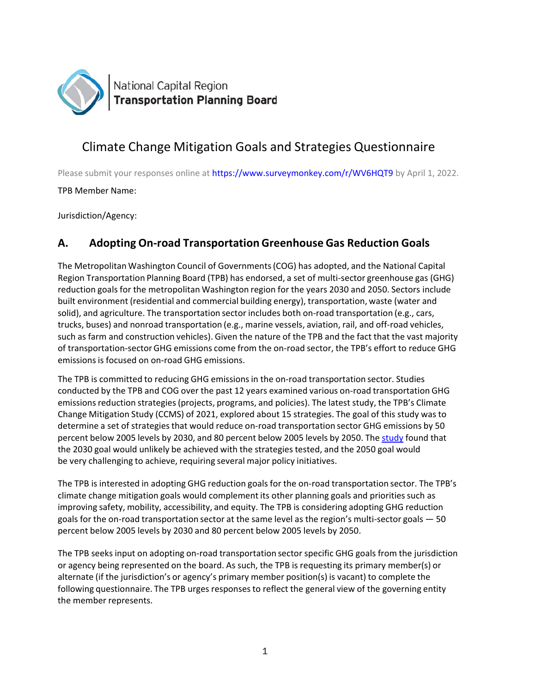

# Climate Change Mitigation Goals and Strategies Questionnaire

Please submit your responses online at https://www.surveymonkey.com/r/WV6HQT9 by April 1, 2022.

TPB Member Name:

Jurisdiction/Agency:

# **A. Adopting On‐road Transportation Greenhouse Gas Reduction Goals**

The Metropolitan Washington Council of Governments (COG) has adopted, and the National Capital Region Transportation Planning Board (TPB) has endorsed, a set of multi‐sector greenhouse gas (GHG) reduction goals for the metropolitan Washington region for the years 2030 and 2050. Sectors include built environment (residential and commercial building energy), transportation, waste (water and solid), and agriculture. The transportation sector includes both on-road transportation (e.g., cars, trucks, buses) and nonroad transportation (e.g., marine vessels, aviation, rail, and off‐road vehicles, such as farm and construction vehicles). Given the nature of the TPB and the fact that the vast majority of transportation‐sector GHG emissions come from the on‐road sector, the TPB's effort to reduce GHG emissions is focused on on‐road GHG emissions.

The TPB is committed to reducing GHG emissions in the on‐road transportation sector. Studies conducted by the TPB and COG over the past 12 years examined various on‐road transportation GHG emissions reduction strategies (projects, programs, and policies). The latest study, the TPB's Climate Change Mitigation Study (CCMS) of 2021, explored about 15 strategies. The goal of this study was to determine a set of strategies that would reduce on‐road transportation sector GHG emissions by 50 percent below 2005 levels by 2030, and 80 percent below 2005 levels by 2050. The study found that the 2030 goal would unlikely be achieved with the strategies tested, and the 2050 goal would be very challenging to achieve, requiring several major policy initiatives.

The TPB is interested in adopting GHG reduction goals for the on‐road transportation sector. The TPB's climate change mitigation goals would complement its other planning goals and priorities such as improving safety, mobility, accessibility, and equity. The TPB is considering adopting GHG reduction goals for the on-road transportation sector at the same level as the region's multi-sector goals - 50 percent below 2005 levels by 2030 and 80 percent below 2005 levels by 2050.

The TPB seeks input on adopting on‐road transportation sector specific GHG goals from the jurisdiction or agency being represented on the board. As such, the TPB is requesting its primary member(s) or alternate (if the jurisdiction's or agency's primary member position(s) is vacant) to complete the following questionnaire. The TPB urges responses to reflect the general view of the governing entity the member represents.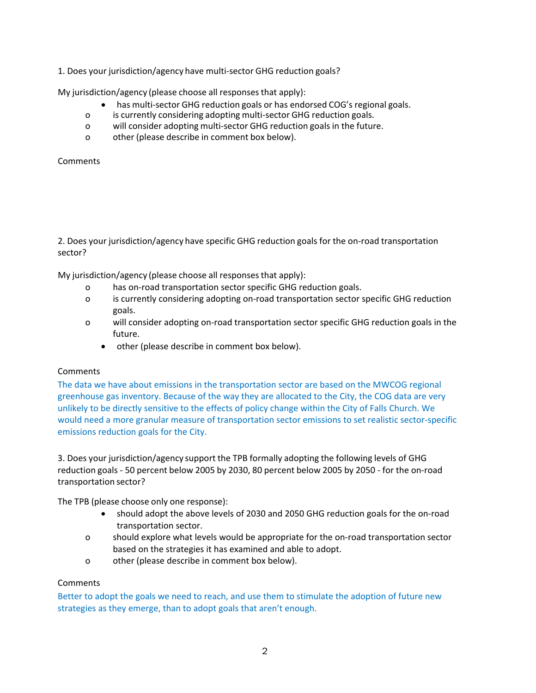1. Does your jurisdiction/agency have multi‐sector GHG reduction goals?

My jurisdiction/agency (please choose all responses that apply):

- has multi‐sector GHG reduction goals or has endorsed COG's regional goals.
- o is currently considering adopting multi‐sector GHG reduction goals.
- o will consider adopting multi‐sector GHG reduction goals in the future.
- o other (please describe in comment box below).

**Comments** 

2. Does your jurisdiction/agency have specific GHG reduction goals for the on-road transportation sector?

My jurisdiction/agency (please choose all responses that apply):

- o has on‐road transportation sector specific GHG reduction goals.
- o is currently considering adopting on‐road transportation sector specific GHG reduction goals.
- o will consider adopting on‐road transportation sector specific GHG reduction goals in the future.
	- other (please describe in comment box below).

#### **Comments**

The data we have about emissions in the transportation sector are based on the MWCOG regional greenhouse gas inventory. Because of the way they are allocated to the City, the COG data are very unlikely to be directly sensitive to the effects of policy change within the City of Falls Church. We would need a more granular measure of transportation sector emissions to set realistic sector‐specific emissions reduction goals for the City.

3. Does your jurisdiction/agency support the TPB formally adopting the following levels of GHG reduction goals ‐ 50 percent below 2005 by 2030, 80 percent below 2005 by 2050 ‐ for the on‐road transportation sector?

The TPB (please choose only one response):

- should adopt the above levels of 2030 and 2050 GHG reduction goals for the on‐road transportation sector.
- o should explore what levels would be appropriate for the on‐road transportation sector based on the strategies it has examined and able to adopt.
- o other (please describe in comment box below).

# **Comments**

Better to adopt the goals we need to reach, and use them to stimulate the adoption of future new strategies as they emerge, than to adopt goals that aren't enough.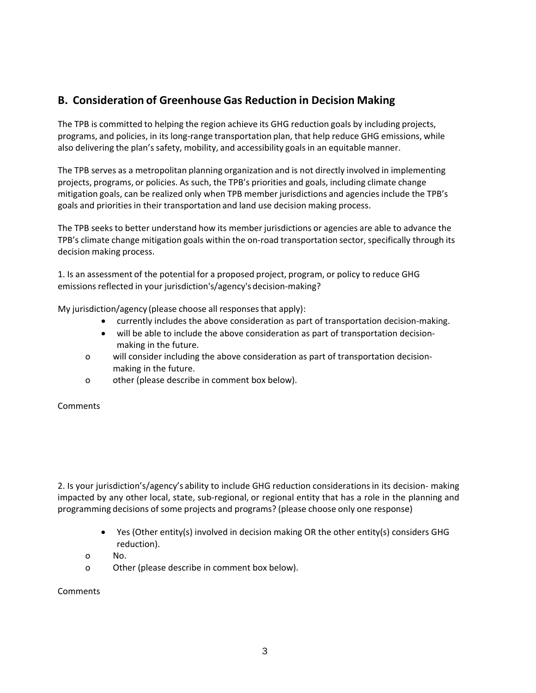# **B. Consideration of Greenhouse Gas Reduction in Decision Making**

The TPB is committed to helping the region achieve its GHG reduction goals by including projects, programs, and policies, in its long‐range transportation plan, that help reduce GHG emissions, while also delivering the plan's safety, mobility, and accessibility goals in an equitable manner.

The TPB serves as a metropolitan planning organization and is not directly involved in implementing projects, programs, or policies. As such, the TPB's priorities and goals, including climate change mitigation goals, can be realized only when TPB member jurisdictions and agencies include the TPB's goals and priorities in their transportation and land use decision making process.

The TPB seeks to better understand how its member jurisdictions or agencies are able to advance the TPB's climate change mitigation goals within the on-road transportation sector, specifically through its decision making process.

1. Is an assessment of the potential for a proposed project, program, or policy to reduce GHG emissions reflected in your jurisdiction's/agency's decision‐making?

My jurisdiction/agency (please choose all responses that apply):

- currently includes the above consideration as part of transportation decision-making.
- will be able to include the above consideration as part of transportation decisionmaking in the future.
- o will consider including the above consideration as part of transportation decision‐ making in the future.
- o other (please describe in comment box below).

#### **Comments**

2. Is your jurisdiction's/agency's ability to include GHG reduction considerations in its decision‐ making impacted by any other local, state, sub‐regional, or regional entity that has a role in the planning and programming decisions of some projects and programs? (please choose only one response)

- Yes (Other entity(s) involved in decision making OR the other entity(s) considers GHG reduction).
- o No.
- o Other (please describe in comment box below).

**Comments**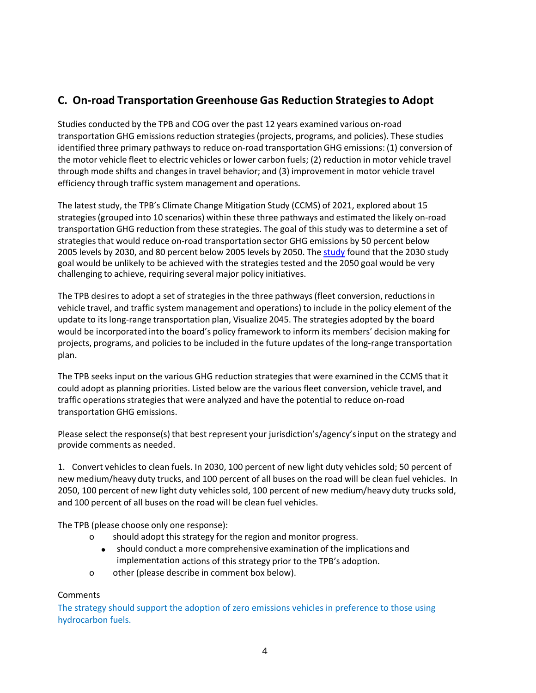# **C. On‐road Transportation Greenhouse Gas Reduction Strategies to Adopt**

Studies conducted by the TPB and COG over the past 12 years examined various on‐road transportation GHG emissions reduction strategies (projects, programs, and policies). These studies identified three primary pathways to reduce on-road transportation GHG emissions: (1) conversion of the motor vehicle fleet to electric vehicles or lower carbon fuels; (2) reduction in motor vehicle travel through mode shifts and changes in travel behavior; and (3) improvement in motor vehicle travel efficiency through traffic system management and operations.

The latest study, the TPB's Climate Change Mitigation Study (CCMS) of 2021, explored about 15 strategies (grouped into 10 scenarios) within these three pathways and estimated the likely on‐road transportation GHG reduction from these strategies. The goal of this study was to determine a set of strategies that would reduce on‐road transportation sector GHG emissions by 50 percent below 2005 levels by 2030, and 80 percent below 2005 levels by 2050. The study found that the 2030 study goal would be unlikely to be achieved with the strategies tested and the 2050 goal would be very challenging to achieve, requiring several major policy initiatives.

The TPB desires to adopt a set of strategies in the three pathways (fleet conversion, reductions in vehicle travel, and traffic system management and operations) to include in the policy element of the update to its long‐range transportation plan, Visualize 2045. The strategies adopted by the board would be incorporated into the board's policy framework to inform its members' decision making for projects, programs, and policies to be included in the future updates of the long‐range transportation plan.

The TPB seeks input on the various GHG reduction strategies that were examined in the CCMS that it could adopt as planning priorities. Listed below are the various fleet conversion, vehicle travel, and traffic operations strategies that were analyzed and have the potential to reduce on‐road transportation GHG emissions.

Please select the response(s) that best represent your jurisdiction's/agency's input on the strategy and provide comments as needed.

1. Convert vehicles to clean fuels. In 2030, 100 percent of new light duty vehicles sold; 50 percent of new medium/heavy duty trucks, and 100 percent of all buses on the road will be clean fuel vehicles. In 2050, 100 percent of new light duty vehicles sold, 100 percent of new medium/heavy duty trucks sold, and 100 percent of all buses on the road will be clean fuel vehicles.

The TPB (please choose only one response):

- o should adopt this strategy for the region and monitor progress.
	- should conduct a more comprehensive examination of the implications and implementation actions of this strategy prior to the TPB's adoption.
- o other (please describe in comment box below).

#### **Comments**

The strategy should support the adoption of zero emissions vehicles in preference to those using hydrocarbon fuels.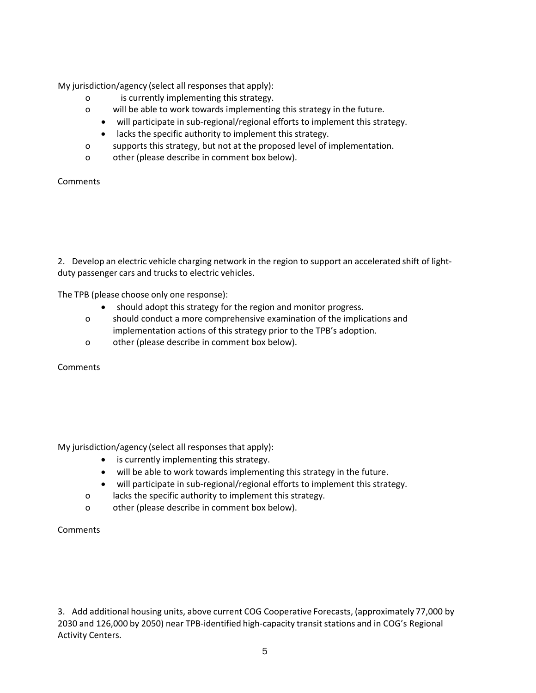My jurisdiction/agency (select all responses that apply):

- o is currently implementing this strategy.
- o will be able to work towards implementing this strategy in the future.
	- will participate in sub-regional/regional efforts to implement this strategy.
	- lacks the specific authority to implement this strategy.
- o supports this strategy, but not at the proposed level of implementation.
- o other (please describe in comment box below).

**Comments** 

2. Develop an electric vehicle charging network in the region to support an accelerated shift of lightduty passenger cars and trucks to electric vehicles.

The TPB (please choose only one response):

- should adopt this strategy for the region and monitor progress.
- o should conduct a more comprehensive examination of the implications and implementation actions of this strategy prior to the TPB's adoption.
- o other (please describe in comment box below).

**Comments** 

My jurisdiction/agency (select all responses that apply):

- is currently implementing this strategy.
- will be able to work towards implementing this strategy in the future.
- will participate in sub‐regional/regional efforts to implement this strategy.
- o lacks the specific authority to implement this strategy.
- o other (please describe in comment box below).

**Comments** 

3. Add additional housing units, above current COG Cooperative Forecasts, (approximately 77,000 by 2030 and 126,000 by 2050) near TPB‐identified high‐capacity transit stations and in COG's Regional Activity Centers.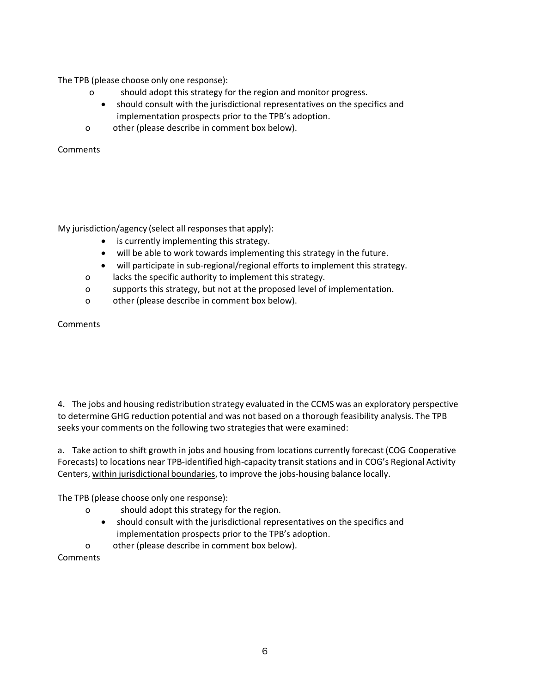The TPB (please choose only one response):

- o should adopt this strategy for the region and monitor progress.
	- should consult with the jurisdictional representatives on the specifics and implementation prospects prior to the TPB's adoption.
- o other (please describe in comment box below).

**Comments** 

My jurisdiction/agency (select all responses that apply):

- is currently implementing this strategy.
- will be able to work towards implementing this strategy in the future.
- will participate in sub-regional/regional efforts to implement this strategy.
- o lacks the specific authority to implement this strategy.
- o supports this strategy, but not at the proposed level of implementation.
- o other (please describe in comment box below).

**Comments** 

4. The jobs and housing redistribution strategy evaluated in the CCMS was an exploratory perspective to determine GHG reduction potential and was not based on a thorough feasibility analysis. The TPB seeks your comments on the following two strategies that were examined:

a. Take action to shift growth in jobs and housing from locations currently forecast (COG Cooperative Forecasts) to locations near TPB‐identified high‐capacity transit stations and in COG's Regional Activity Centers, within jurisdictional boundaries, to improve the jobs-housing balance locally.

The TPB (please choose only one response):

- o should adopt this strategy for the region.
	- should consult with the jurisdictional representatives on the specifics and implementation prospects prior to the TPB's adoption.

o other (please describe in comment box below).

**Comments**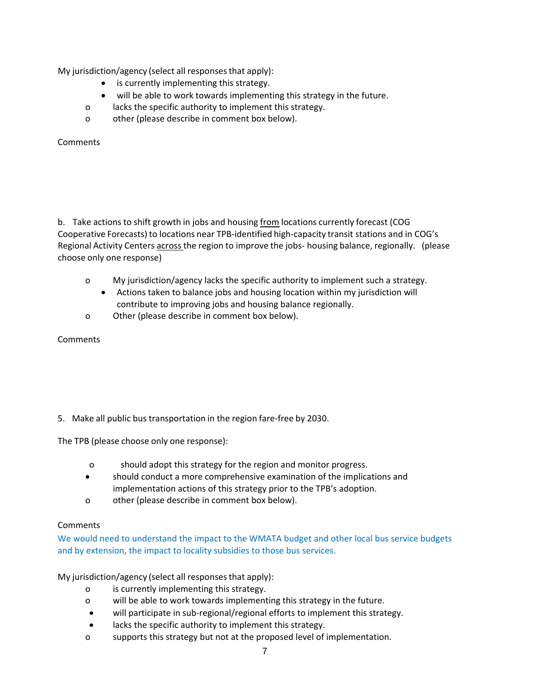My jurisdiction/agency (select all responses that apply):

- is currently implementing this strategy.
- will be able to work towards implementing this strategy in the future.
- o lacks the specific authority to implement this strategy.
- o other (please describe in comment box below).

Comments

b. Take actions to shift growth in jobs and housing from locations currently forecast (COG Cooperative Forecasts) to locations near TPB‐identified high‐capacity transit stations and in COG's Regional Activity Centers across the region to improve the jobs‐ housing balance, regionally. (please choose only one response)

- o My jurisdiction/agency lacks the specific authority to implement such a strategy.
	- Actions taken to balance jobs and housing location within my jurisdiction will contribute to improving jobs and housing balance regionally.
- o Other (please describe in comment box below).

**Comments** 

5. Make all public bus transportation in the region fare-free by 2030.

The TPB (please choose only one response):

- o should adopt this strategy for the region and monitor progress.
- should conduct a more comprehensive examination of the implications and implementation actions of this strategy prior to the TPB's adoption.
- o other (please describe in comment box below).

#### **Comments**

We would need to understand the impact to the WMATA budget and other local bus service budgets and by extension, the impact to locality subsidies to those bus services.

My jurisdiction/agency (select all responses that apply):

- o is currently implementing this strategy.
- o will be able to work towards implementing this strategy in the future.
- will participate in sub‐regional/regional efforts to implement this strategy.
- lacks the specific authority to implement this strategy.
- o supports this strategy but not at the proposed level of implementation.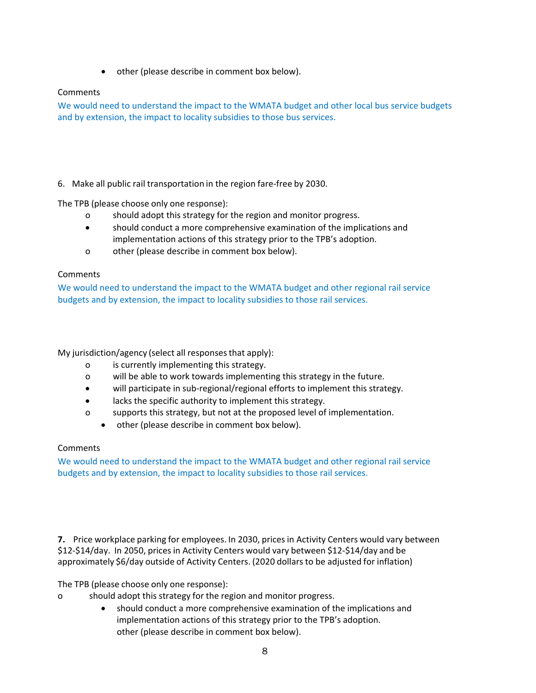• other (please describe in comment box below).

## **Comments**

We would need to understand the impact to the WMATA budget and other local bus service budgets and by extension, the impact to locality subsidies to those bus services.

## 6. Make all public rail transportation in the region fare‐free by 2030.

The TPB (please choose only one response):

- o should adopt this strategy for the region and monitor progress.
- should conduct a more comprehensive examination of the implications and implementation actions of this strategy prior to the TPB's adoption.
- o other (please describe in comment box below).

#### **Comments**

We would need to understand the impact to the WMATA budget and other regional rail service budgets and by extension, the impact to locality subsidies to those rail services.

My jurisdiction/agency (select all responses that apply):

- o is currently implementing this strategy.
- o will be able to work towards implementing this strategy in the future.
- will participate in sub-regional/regional efforts to implement this strategy.
- lacks the specific authority to implement this strategy.
- o supports this strategy, but not at the proposed level of implementation.
	- other (please describe in comment box below).

#### **Comments**

We would need to understand the impact to the WMATA budget and other regional rail service budgets and by extension, the impact to locality subsidies to those rail services.

**7.** Price workplace parking for employees. In 2030, prices in Activity Centers would vary between \$12‐\$14/day. In 2050, prices in Activity Centers would vary between \$12‐\$14/day and be approximately \$6/day outside of Activity Centers. (2020 dollars to be adjusted for inflation)

The TPB (please choose only one response):

- o should adopt this strategy for the region and monitor progress.
	- should conduct a more comprehensive examination of the implications and implementation actions of this strategy prior to the TPB's adoption. other (please describe in comment box below).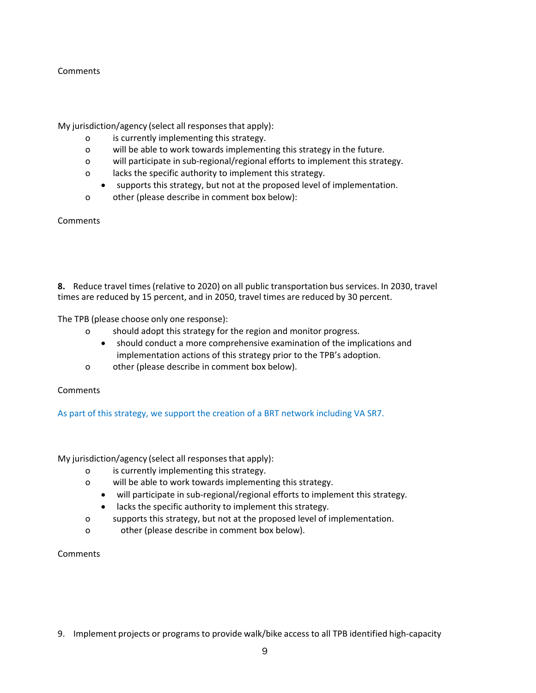#### **Comments**

My jurisdiction/agency (select all responses that apply):

- o is currently implementing this strategy.
- o will be able to work towards implementing this strategy in the future.
- o will participate in sub‐regional/regional efforts to implement this strategy.
- o lacks the specific authority to implement this strategy.
- supports this strategy, but not at the proposed level of implementation.
- o other (please describe in comment box below):

**Comments** 

**8.** Reduce travel times (relative to 2020) on all public transportation bus services. In 2030, travel times are reduced by 15 percent, and in 2050, travel times are reduced by 30 percent.

The TPB (please choose only one response):

- o should adopt this strategy for the region and monitor progress.
	- should conduct a more comprehensive examination of the implications and implementation actions of this strategy prior to the TPB's adoption.
- o other (please describe in comment box below).

**Comments** 

As part of this strategy, we support the creation of a BRT network including VA SR7.

My jurisdiction/agency (select all responses that apply):

- o is currently implementing this strategy.
- o will be able to work towards implementing this strategy.
	- will participate in sub-regional/regional efforts to implement this strategy.
	- lacks the specific authority to implement this strategy.
- o supports this strategy, but not at the proposed level of implementation.
- o other (please describe in comment box below).
- **Comments**
- 9. Implement projects or programs to provide walk/bike access to all TPB identified high-capacity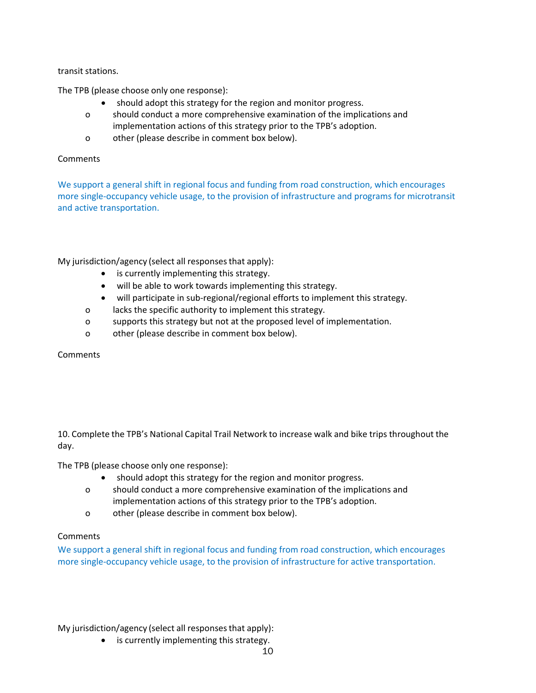#### transit stations.

The TPB (please choose only one response):

- should adopt this strategy for the region and monitor progress.
- o should conduct a more comprehensive examination of the implications and implementation actions of this strategy prior to the TPB's adoption.
- o other (please describe in comment box below).

#### **Comments**

We support a general shift in regional focus and funding from road construction, which encourages more single‐occupancy vehicle usage, to the provision of infrastructure and programs for microtransit and active transportation.

My jurisdiction/agency (select all responses that apply):

- is currently implementing this strategy.
- will be able to work towards implementing this strategy.
- will participate in sub‐regional/regional efforts to implement this strategy.
- o lacks the specific authority to implement this strategy.
- o supports this strategy but not at the proposed level of implementation.
- o other (please describe in comment box below).

**Comments** 

10. Complete the TPB's National Capital Trail Network to increase walk and bike trips throughout the day.

The TPB (please choose only one response):

- should adopt this strategy for the region and monitor progress.
- o should conduct a more comprehensive examination of the implications and implementation actions of this strategy prior to the TPB's adoption.
- o other (please describe in comment box below).

#### **Comments**

We support a general shift in regional focus and funding from road construction, which encourages more single‐occupancy vehicle usage, to the provision of infrastructure for active transportation.

My jurisdiction/agency (select all responses that apply):

• is currently implementing this strategy.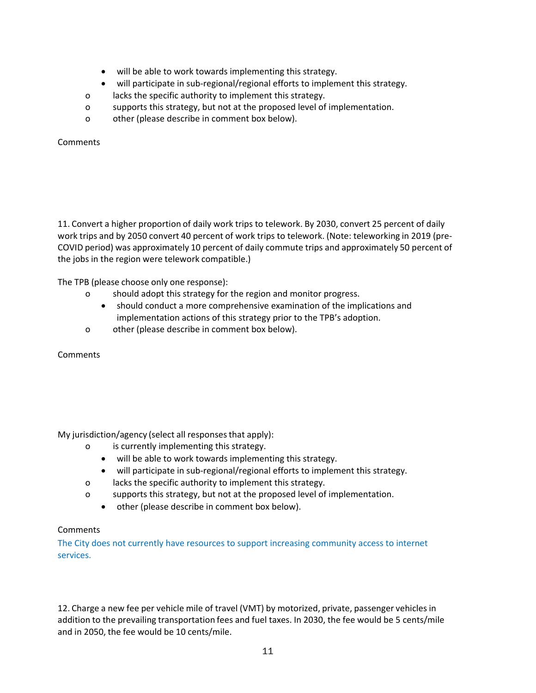- will be able to work towards implementing this strategy.
- will participate in sub-regional/regional efforts to implement this strategy.
- o lacks the specific authority to implement this strategy.
- o supports this strategy, but not at the proposed level of implementation.
- o other (please describe in comment box below).

Comments

11. Convert a higher proportion of daily work trips to telework. By 2030, convert 25 percent of daily work trips and by 2050 convert 40 percent of work trips to telework. (Note: teleworking in 2019 (pre-COVID period) was approximately 10 percent of daily commute trips and approximately 50 percent of the jobs in the region were telework compatible.)

The TPB (please choose only one response):

- o should adopt this strategy for the region and monitor progress.
	- should conduct a more comprehensive examination of the implications and implementation actions of this strategy prior to the TPB's adoption.
- o other (please describe in comment box below).

**Comments** 

My jurisdiction/agency (select all responses that apply):

- o is currently implementing this strategy.
	- will be able to work towards implementing this strategy.
	- will participate in sub-regional/regional efforts to implement this strategy.
- o lacks the specific authority to implement this strategy.
- o supports this strategy, but not at the proposed level of implementation.
	- other (please describe in comment box below).

# **Comments**

The City does not currently have resources to support increasing community access to internet services.

12. Charge a new fee per vehicle mile of travel (VMT) by motorized, private, passenger vehicles in addition to the prevailing transportation fees and fuel taxes. In 2030, the fee would be 5 cents/mile and in 2050, the fee would be 10 cents/mile.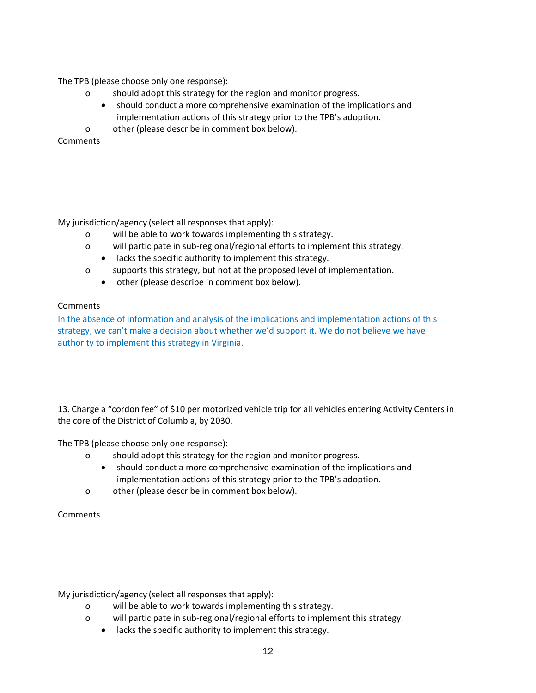The TPB (please choose only one response):

- o should adopt this strategy for the region and monitor progress.
	- should conduct a more comprehensive examination of the implications and implementation actions of this strategy prior to the TPB's adoption.
- o other (please describe in comment box below).

**Comments** 

My jurisdiction/agency (select all responses that apply):

- o will be able to work towards implementing this strategy.
- o will participate in sub‐regional/regional efforts to implement this strategy.
	- lacks the specific authority to implement this strategy.
- o supports this strategy, but not at the proposed level of implementation.
	- other (please describe in comment box below).

## **Comments**

In the absence of information and analysis of the implications and implementation actions of this strategy, we can't make a decision about whether we'd support it. We do not believe we have authority to implement this strategy in Virginia.

13. Charge a "cordon fee" of \$10 per motorized vehicle trip for all vehicles entering Activity Centers in the core of the District of Columbia, by 2030.

The TPB (please choose only one response):

- o should adopt this strategy for the region and monitor progress.
	- should conduct a more comprehensive examination of the implications and implementation actions of this strategy prior to the TPB's adoption.
- o other (please describe in comment box below).

**Comments** 

My jurisdiction/agency (select all responses that apply):

- o will be able to work towards implementing this strategy.
- o will participate in sub‐regional/regional efforts to implement this strategy.
	- lacks the specific authority to implement this strategy.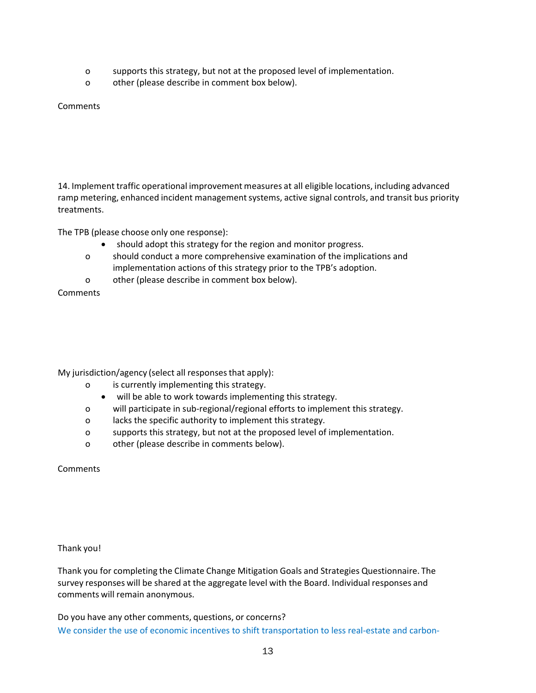- o supports this strategy, but not at the proposed level of implementation.
- o other (please describe in comment box below).

## **Comments**

14. Implement traffic operational improvement measures at all eligible locations, including advanced ramp metering, enhanced incident management systems, active signal controls, and transit bus priority treatments.

The TPB (please choose only one response):

- should adopt this strategy for the region and monitor progress.
- o should conduct a more comprehensive examination of the implications and implementation actions of this strategy prior to the TPB's adoption.
- o other (please describe in comment box below).

**Comments** 

My jurisdiction/agency (select all responses that apply):

- o is currently implementing this strategy.
	- will be able to work towards implementing this strategy.
- o will participate in sub‐regional/regional efforts to implement this strategy.
- o lacks the specific authority to implement this strategy.
- o supports this strategy, but not at the proposed level of implementation.
- o other (please describe in comments below).

**Comments** 

#### Thank you!

Thank you for completing the Climate Change Mitigation Goals and Strategies Questionnaire. The survey responses will be shared at the aggregate level with the Board. Individual responses and comments will remain anonymous.

Do you have any other comments, questions, or concerns? We consider the use of economic incentives to shift transportation to less real-estate and carbon